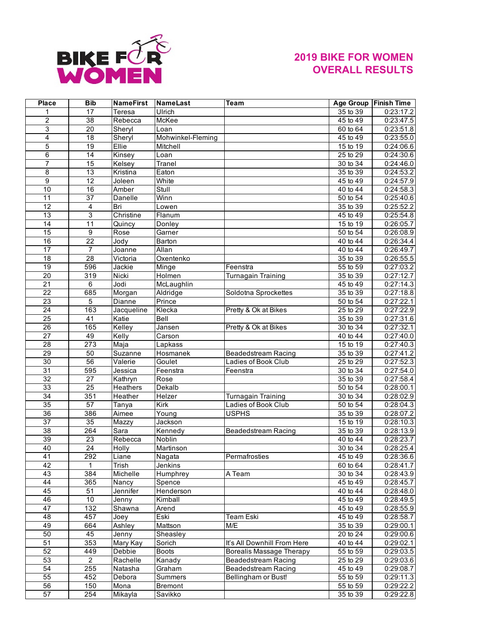

## **2019 BIKE FOR WOMEN OVERALL RESULTS**

| Place           | <b>Bib</b>              | <b>NameFirst</b>    | NameLast          | Team                            |                                    | Age Group   Finish Time |
|-----------------|-------------------------|---------------------|-------------------|---------------------------------|------------------------------------|-------------------------|
| 1               | 17                      | Teresa              | Ulrich            |                                 | $35$ to $39$                       | 0:23:17.2               |
| $\overline{c}$  | $\overline{38}$         | Rebecca             | McKee             |                                 | 45 to 49                           | 0:23:47.5               |
| $\overline{3}$  | $\overline{20}$         | Sheryl              | Loan              |                                 | 60 to 64                           | 0:23:51.8               |
| 4               | $\overline{18}$         | Sheryl              | Mohwinkel-Fleming |                                 | 45 to 49                           | 0:23:55.0               |
| 5               | 19                      | Ellie               | Mitchell          |                                 | $15$ to 19                         | 0:24:06.6               |
| 6               | 14                      | Kinsey              | Loan              |                                 | 25 to 29                           | 0:24:30.6               |
| $\overline{7}$  | 15                      | Kelsey              | Tranel            |                                 | 30 to 34                           | 0:24:46.0               |
| $\overline{8}$  | 13                      | Kristina            | Eaton             |                                 | 35 to 39                           | 0:24:53.2               |
| $\overline{9}$  | 12                      | Joleen              | White             |                                 | 45 to 49                           | 0:24:57.9               |
| 10              | 16                      | Amber               | Stull             |                                 | $\overline{40}$ to $\overline{44}$ | 0:24:58.3               |
| $\overline{11}$ | $\overline{37}$         | Danelle             | Winn              |                                 | 50 to 54                           | 0:25:40.6               |
| $\overline{12}$ | $\overline{\mathbf{4}}$ | Bri                 | Lowen             |                                 | 35 to 39                           | 0:25:52.2               |
| 13              | $\overline{3}$          | Christine           | Flanum            |                                 | 45 to 49                           | 0:25:54.8               |
| 14              | $\overline{11}$         | Quincy              | Donley            |                                 | 15 to 19                           | 0:26:05.7               |
| 15              | 9                       | Rose                | Garner            |                                 | 50 to 54                           | 0:26:08.9               |
|                 |                         |                     |                   |                                 | 40 to 44                           |                         |
| 16              | $\overline{22}$         | Jody                | <b>Barton</b>     |                                 |                                    | 0:26:34.4               |
| $\overline{17}$ | $\overline{7}$          | Joanne              | Allan             |                                 | 40 to 44                           | 0:26:49.7               |
| 18              | 28                      | Victoria            | Oxentenko         |                                 | 35 to 39                           | 0:26:55.5               |
| 19              | 596                     | Jackie              | Minge             | Feenstra                        | 55 to 59                           | 0:27:03.2               |
| $\overline{20}$ | $\overline{319}$        | Nicki               | Holmen            | <b>Turnagain Training</b>       | 35 to 39                           | 0:27:12.7               |
| $\overline{21}$ | 6                       | Jodi                | McLaughlin        |                                 | $45$ to 49                         | 0:27:14.3               |
| $\overline{22}$ | 685                     | Morgan              | Aldridge          | Soldotna Sprockettes            | 35 to 39                           | 0:27:18.8               |
| 23              | 5                       | Dianne              | Prince            |                                 | 50 to 54                           | 0:27:22.1               |
| $\overline{24}$ | 163                     | Jacqueline          | Klecka            | Pretty & Ok at Bikes            | 25 to 29                           | 0:27:22.9               |
| $\overline{25}$ | 41                      | Katie               | Bell              |                                 | 35 to 39                           | 0:27:31.6               |
| $\overline{26}$ | 165                     | Kelley              | Jansen            | Pretty & Ok at Bikes            | 30 to 34                           | 0:27:32.1               |
| $\overline{27}$ | 49                      | Kelly               | Carson            |                                 | $40$ to $44$                       | 0:27:40.0               |
| 28              | 273                     | Maja                | Lapkass           |                                 | $15$ to $19$                       | 0:27:40.3               |
| 29              | 50                      | Suzanne             | Hosmanek          | <b>Beadedstream Racing</b>      | 35 to 39                           | 0:27:41.2               |
| $\overline{30}$ | 56                      | Valerie             | Goulet            | Ladies of Book Club             | 25 to 29                           | 0:27:52.3               |
| 31              | 595                     | Jessica             | Feenstra          | Feenstra                        | $30$ to $34$                       | 0:27:54.0               |
| $\overline{32}$ | $\overline{27}$         | Kathryn             | Rose              |                                 | 35 to 39                           | 0:27:58.4               |
| 33              | 25                      | Heathers            | Dekalb            |                                 | 50 to 54                           | 0:28:00.1               |
| $\overline{34}$ | 351                     | Heather             | Helzer            | <b>Turnagain Training</b>       | 30 to 34                           | 0:28:02.9               |
| $\overline{35}$ | 57                      | $\overline{T}$ anya | Kirk              | Ladies of Book Club             | $50$ to $54$                       | 0:28:04.3               |
| $\overline{36}$ | 386                     | Aimee               | Young             | <b>USPHS</b>                    | $35$ to $39$                       | 0:28:07.2               |
| $\overline{37}$ | 35                      | Mazzy               | Jackson           |                                 | 15 to 19                           | 0:28:10.3               |
| 38              | 264                     | Sara                | Kennedy           | <b>Beadedstream Racing</b>      | 35 to 39                           | 0:28:13.9               |
| $\overline{39}$ | $\overline{23}$         | Rebecca             | Noblin            |                                 | 40 to 44                           | 0:28:23.7               |
|                 | 24                      |                     |                   |                                 | $30$ to $34$                       |                         |
| 40<br>41        |                         | Holly<br>Liane      | Martinson         |                                 |                                    | 0:28:25.4               |
|                 | 292                     |                     | Nagata            | Permafrosties                   | 45 to 49                           | 0:28:36.6               |
| 42              | 1                       | Trish               | Jenkins           |                                 | 60 to 64                           | 0:28:41.7               |
| 43              | 384                     | Michelle            | Humphrey          | A Team                          | 30 to 34                           | 0:28:43.9               |
| 44              | 365                     | Nancy               | Spence            |                                 | 45 to 49                           | 0:28:45.7               |
| 45              | 51                      | Jennifer            | Henderson         |                                 | 40 to 44                           | 0:28:48.0               |
| 46              | 10                      | Jenny               | Kimball           |                                 | 45 to 49                           | 0:28:49.5               |
| $\overline{47}$ | 132                     | Shawna              | Arend             |                                 | 45 to 49                           | 0:28:55.9               |
| 48              | 457                     | Joey                | Eski              | Team Eski                       | 45 to 49                           | 0:28:58.7               |
| 49              | 664                     | Ashley              | Mattson           | M/E                             | 35 to 39                           | 0:29:00.1               |
| 50              | 45                      | Jenny               | Sheasley          |                                 | 20 to 24                           | 0:29:00.6               |
| 51              | 353                     | Mary Kay            | Sorich            | It's All Downhill From Here     | 40 to 44                           | 0:29:02.1               |
| 52              | 449                     | Debbie              | <b>Boots</b>      | <b>Borealis Massage Therapy</b> | 55 to 59                           | 0:29:03.5               |
| 53              | $\overline{2}$          | Rachelle            | Kanady            | <b>Beadedstream Racing</b>      | 25 to 29                           | 0:29:03.6               |
| 54              | 255                     | Natasha             | Graham            | Beadedstream Racing             | 45 to 49                           | 0:29:08.7               |
| 55              | 452                     | Debora              | Summers           | Bellingham or Bust!             | 55 to 59                           | 0:29:11.3               |
| $\overline{56}$ | 150                     | Mona                | Bremont           |                                 | $55$ to $59$                       | 0:29:22.2               |
| $\overline{57}$ | 254                     | Mikayla             | Savikko           |                                 | 35 to 39                           | 0:29:22.8               |
|                 |                         |                     |                   |                                 |                                    |                         |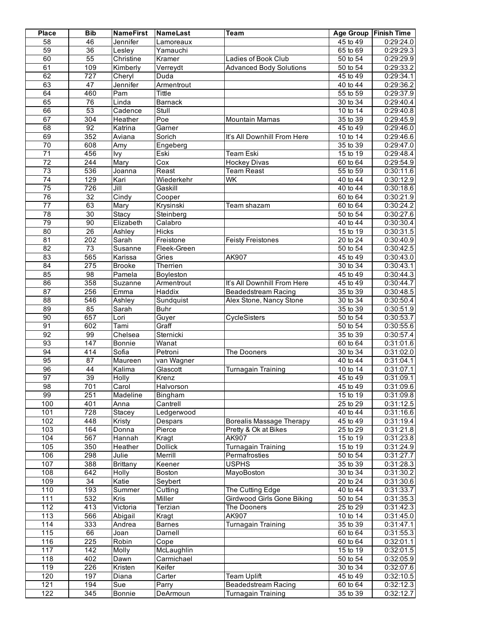| <b>Place</b>    | <b>Bib</b>       | <b>NameFirst</b> | <b>NameLast</b>         | Team                            |                                    | Age Group   Finish Time |
|-----------------|------------------|------------------|-------------------------|---------------------------------|------------------------------------|-------------------------|
| 58              | 46               | Jennifer         | Lamoreaux               |                                 | 45 to 49                           | 0:29:24.0               |
| 59              | $\overline{36}$  | Lesley           | Yamauchi                |                                 | 65 to 69                           | 0:29:29.3               |
| 60              | 55               | Christine        | Kramer                  | Ladies of Book Club             | 50 to 54                           | 0:29:29.9               |
| 61              | 109              | Kimberly         | Verreydt                | <b>Advanced Body Solutions</b>  | 50 to 54                           | 0:29:33.2               |
| 62              | 727              | Cheryl           | Duda                    |                                 | $45$ to $49$                       | 0:29:34.1               |
| 63              | 47               | Jennifer         | Armentrout              |                                 | 40 to 44                           | 0:29:36.2               |
| 64              | 460              | Pam              | Tittle                  |                                 | 55 to 59                           | 0:29:37.9               |
| 65              | 76               | Linda            | <b>Barnack</b>          |                                 | 30 to 34                           | 0:29:40.4               |
| 66              | 53               | Cadence          | Stull                   |                                 | 10 to 14                           | 0:29:40.8               |
| 67              | 304              | Heather          | Poe                     | <b>Mountain Mamas</b>           | 35 to 39                           | 0:29:45.9               |
| 68              | 92               | Katrina          | Garner                  |                                 | 45 to 49                           | 0:29:46.0               |
| 69              | 352              | Aviana           | Sorich                  | It's All Downhill From Here     | 10 to 14                           | 0:29:46.6               |
| 70              | 608              | Amy              | Engeberg                |                                 | 35 to 39                           | 0:29:47.0               |
| $\overline{71}$ | 456              | lvy              | Eski                    | <b>Team Eski</b>                | 15 to 19                           | 0:29:48.4               |
| 72              | 244              | Mary             | $\overline{\text{Cox}}$ | <b>Hockey Divas</b>             | $60$ to $64$                       | 0:29:54.9               |
| 73              | 536              | Joanna           | Reast                   | <b>Team Reast</b>               | 55 to 59                           | 0:30:11.6               |
| 74              | 129              | Kari             | Wiederkehr              | WK                              | $\overline{40}$ to $\overline{44}$ | 0:30:12.9               |
| 75              | 726              | Jill             | Gaskill                 |                                 | 40 to 44                           | 0:30:18.6               |
| 76              | $\overline{32}$  | Cindy            | Cooper                  |                                 | 60 to 64                           | 0:30:21.9               |
| $\overline{77}$ | 63               | Mary             | Krysinski               | Team shazam                     | 60 to 64                           | 0:30:24.2               |
| 78              | 30               | Stacy            | Steinberg               |                                 | 50 to 54                           | 0:30:27.6               |
| 79              | $\overline{90}$  | Elizabeth        | Calabro                 |                                 | $40$ to $44$                       | 0:30:30.4               |
| 80              | 26               | Ashley           | <b>Hicks</b>            |                                 | 15 to 19                           | 0:30:31.5               |
| 81              | $\overline{202}$ | Sarah            | Freistone               | <b>Feisty Freistones</b>        | $20$ to $24$                       | 0:30:40.9               |
| $\overline{82}$ | $\overline{73}$  | Susanne          | Fleek-Green             |                                 | 50 to 54                           | 0:30:42.5               |
| 83              | 565              | Karissa          | Gries                   | AK907                           | 45 to 49                           | 0:30:43.0               |
| 84              | $\overline{275}$ | <b>Brooke</b>    | Therrien                |                                 | 30 to 34                           | 0:30:43.1               |
| 85              | $\overline{98}$  | Pamela           | Boyleston               |                                 | 45 to 49                           | 0:30:44.3               |
| 86              | 358              | Suzanne          | Armentrout              | It's All Downhill From Here     | 45 to 49                           | 0:30:44.7               |
| 87              | 256              | Emma             | Haddix                  | Beadedstream Racing             | 35 to 39                           | 0:30:48.5               |
| $\overline{88}$ | 546              | Ashley           | Sundquist               | Alex Stone, Nancy Stone         | 30 to 34                           | 0:30:50.4               |
| 89              | 85               | Sarah            | <b>Buhr</b>             |                                 | 35 to 39                           | 0:30:51.9               |
| 90              | 657              | Lori             | Guyer                   | CycleSisters                    | 50 to 54                           | 0:30:53.7               |
| 91              | 602              | Tami             | Graff                   |                                 | 50 to 54                           | 0:30:55.6               |
| 92              | 99               | Chelsea          | Sternicki               |                                 | $35$ to $39$                       | 0:30:57.4               |
| 93              | 147              | Bonnie           | Wanat                   |                                 | 60 to 64                           | 0:31:01.6               |
| 94              | 414              | Sofia            | Petroni                 | The Dooners                     | 30 to 34                           | 0:31:02.0               |
| 95              | 87               | Maureen          | van Wagner              |                                 | 40 to 44                           | 0:31:04.1               |
| 96              | 44               | Kalima           | Glascott                | <b>Turnagain Training</b>       | 10 to 14                           | 0:31:07.1               |
| 97              | 39               | Holly            | Krenz                   |                                 | 45 to 49                           | 0:31:09.1               |
| 98              | 701              | Carol            | Halvorson               |                                 | 45 to 49                           | 0:31:09.6               |
| 99              | 251              | Madeline         | Bingham                 |                                 | 15 to 19                           | 0:31:09.8               |
| 100             | 401              | Anna             | Cantrell                |                                 | 25 to 29                           | 0:31:12.5               |
| 101             | 728              | Stacey           | Ledgerwood              |                                 | 40 to 44                           | 0:31:16.6               |
| 102             | 448              | Kristy           | Despars                 | <b>Borealis Massage Therapy</b> | 45 to 49                           | 0:31:19.4               |
| 103             | 164              | Donna            | Pierce                  | Pretty & Ok at Bikes            | 25 to 29                           | 0:31:21.8               |
| 104             | 567              | Hannah           | Kragt                   | <b>AK907</b>                    | $15$ to $19$                       | 0:31:23.8               |
| 105             | 350              | Heather          | <b>Dollick</b>          | <b>Turnagain Training</b>       | 15 to 19                           | 0:31:24.9               |
| 106             | 298              | Julie            | Merrill                 | Permafrosties                   | 50 to 54                           | 0:31:27.7               |
| 107             | 388              | <b>Brittany</b>  | Keener                  | <b>USPHS</b>                    | 35 to 39                           | 0:31:28.3               |
| 108             | 642              | Holly            | Boston                  | MayoBoston                      | 30 to 34                           | 0:31:30.2               |
| 109             | $\overline{34}$  | Katie            | Seybert                 |                                 | 20 to 24                           | 0:31:30.6               |
| 110             | 193              | Summer           | Cutting                 | The Cutting Edge                | 40 to 44                           | 0:31:33.7               |
| 111             | 532              | Kris             | Miller                  | Girdwood Girls Gone Biking      | 50 to 54                           | 0:31:35.3               |
| 112             | 413              | Victoria         | Terzian                 | The Dooners                     | 25 to 29                           | 0:31:42.3               |
| 113             | 566              | Abigail          | Kragt                   | AK907                           | 10 to 14                           | 0:31:45.0               |
| 114             | 333              | Andrea           | <b>Barnes</b>           | Turnagain Training              | 35 to 39                           | 0:31:47.1               |
| 115             | 66               | Joan             | Darnell                 |                                 | 60 to 64                           | 0:31:55.3               |
| 116             | 225              | Robin            | Cope                    |                                 | 60 to 64                           | 0:32:01.1               |
| 117             | 142              | Molly            | McLaughlin              |                                 | 15 to 19                           | 0:32:01.5               |
| 118             | 402              | Dawn             | Carmichael              |                                 | 50 to 54                           | 0:32:05.9               |
| 119             | 226              | Kristen          | Keifer                  |                                 | $30$ to $34$                       | 0:32:07.6               |
| 120             | 197              | Diana            | Carter                  | <b>Team Uplift</b>              | 45 to 49                           | 0:32:10.5               |
| 121             | 194              | Sue              | Parry                   | Beadedstream Racing             | 60 to 64                           | 0:32:12.3               |
| 122             | 345              | Bonnie           | DeArmoun                | <b>Turnagain Training</b>       | 35 to 39                           | 0:32:12.7               |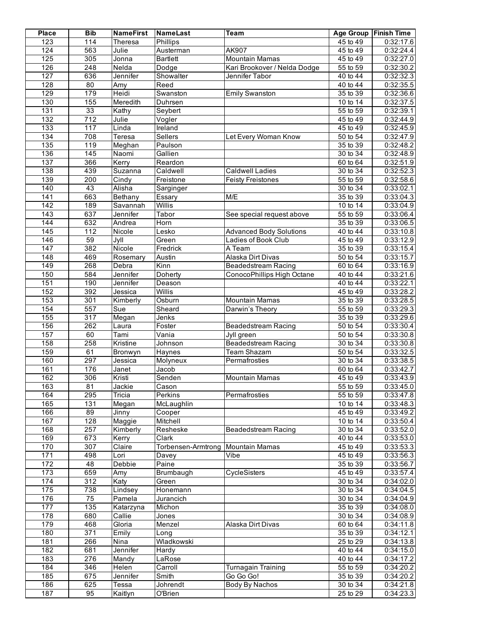| <b>Place</b>     | <b>Bib</b>       | <b>NameFirst</b>      | <b>NameLast</b>             | <b>Team</b>                    |                          | Age Group Finish Time  |
|------------------|------------------|-----------------------|-----------------------------|--------------------------------|--------------------------|------------------------|
| 123              | 114              | Theresa               | Phillips                    |                                | 45 to 49                 | 0:32:17.6              |
| 124              | 563              | Julie                 | Austerman                   | AK907                          | $45$ to $49$             | 0:32:24.4              |
| 125              | 305              | Jonna                 | <b>Bartlett</b>             | <b>Mountain Mamas</b>          | 45 to 49                 | 0:32:27.0              |
| 126              | 248              | Nelda                 | Dodge                       | Kari Brookover / Nelda Dodge   | 55 to 59                 | 0:32:30.2              |
| 127              | 636              | Jennifer              | Showalter                   | Jennifer Tabor                 | 40 to 44                 | 0:32:32.3              |
| 128              | $\overline{80}$  | Amy                   | Reed                        |                                | 40 to 44                 | 0:32:35.5              |
| 129              | 179              | Heidi                 | Swanston                    | <b>Emily Swanston</b>          | 35 to 39                 | 0:32:36.6              |
| 130              | 155              | Meredith              | Duhrsen                     |                                | 10 to $14$               | 0:32:37.5              |
| 131              | 33               | Kathy                 | Seybert                     |                                | 55 to 59                 | 0:32:39.1              |
| 132              | 712              | Julie                 | Vogler                      |                                | 45 to 49                 | 0:32:44.9              |
| 133              | 117              | Linda                 | Ireland                     |                                | 45 to 49                 | 0:32:45.9              |
| 134              | 708              | Teresa                | Sellers                     | Let Every Woman Know           | 50 to 54                 | 0:32:47.9              |
| $\overline{135}$ | 119              | Meghan                | Paulson                     |                                | 35 to 39                 | 0:32:48.2              |
| 136              | 145              | Naomi                 | Gallien                     |                                | 30 to 34                 | 0:32:48.9              |
| 137              | 366              | Kerry                 | Reardon                     |                                | 60 to 64                 | 0:32:51.9              |
| 138              | 439              | Suzanna               | Caldwell                    | <b>Caldwell Ladies</b>         | 30 to 34                 | 0:32:52.3              |
| 139              | $\overline{200}$ | Cindy                 | Freistone                   | <b>Feisty Freistones</b>       | 55 to 59                 | 0:32:58.6              |
| 140              | 43               | Alisha                | Sarginger                   |                                | 30 to 34                 | 0:33:02.1              |
| 141              | 663              | Bethany               | Essary                      | M/E                            | 35 to 39                 | 0:33:04.3              |
| 142              | 189              | Savannah              | <b>Willis</b>               |                                | 10 to 14                 | 0:33:04.9              |
| 143              | 637              | Jennifer              | Tabor                       | See special request above      | 55 to 59                 | 0:33:06.4              |
| 144              | 632              | Andrea                | Horn                        |                                | 35 to 39                 | 0:33:06.5              |
| 145              | 112              | Nicole                | Lesko                       | <b>Advanced Body Solutions</b> | 40 to 44                 | 0:33:10.8              |
| 146              | 59               | Jyll                  | Green                       | Ladies of Book Club            | 45 to 49                 | 0:33:12.9              |
| 147              | 382              | Nicole                | Fredrick                    | A Team                         | 35 to 39                 | 0:33:15.4              |
| 148              | 469              | Rosemary              | Austin                      | Alaska Dirt Divas              | $50$ to $54$             | 0:33:15.7              |
| 149              | 268              | Debra                 | Kinn                        | <b>Beadedstream Racing</b>     | $60$ to $64$             | 0:33:16.9              |
| 150              | 584              | Jennifer              | Doherty                     | ConocoPhillips High Octane     | $40$ to $44$             | 0:33:21.6              |
| 151              | 190              | Jennifer              | Deason                      |                                | 40 to 44                 | 0:33:22.1              |
| 152              | 392              | Jessica               | Willis                      |                                | 45 to 49                 | 0:33:28.2              |
| 153              | 301              | Kimberly              | Osburn                      | <b>Mountain Mamas</b>          | 35 to 39                 | 0:33:28.5              |
| 154              | 557              | Sue                   | Sheard                      | Darwin's Theory                | 55 to 59                 | 0:33:29.3              |
| 155              | $\overline{317}$ | Megan                 | Jenks                       |                                | 35 to 39                 | 0:33:29.6              |
| 156              | 262              | Laura                 | Foster                      | <b>Beadedstream Racing</b>     | 50 to 54                 | 0:33:30.4              |
| 157              | 60               | Tami                  | Vania                       | Jyll green                     | $50$ to $54$             | 0:33:30.8              |
| 158              | 258              | Kristine              | Johnson                     | <b>Beadedstream Racing</b>     | 30 to 34                 | 0:33:30.8              |
| 159              | 61               | Bronwyn               |                             | <b>Team Shazam</b>             | 50 to 54                 | 0:33:32.5              |
| 160              | 297              | Jessica               | Haynes<br>Molyneux          | Permafrosties                  | 30 to 34                 | 0:33:38.5              |
| 161              | 176              | Janet                 | Jacob                       |                                | 60 to 64                 | 0:33:42.7              |
| 162              | 306              | Kristi                | Senden                      | <b>Mountain Mamas</b>          | 45 to 49                 | 0:33:43.9              |
| 163              | 81               | Jackie                |                             |                                | 55 to 59                 | 0:33:45.0              |
|                  |                  |                       | Cason<br>Perkins            | Permafrosties                  |                          | 0:33:47.8              |
| 164<br>165       | 295<br>131       | Tricia                |                             |                                | 55 to 59                 |                        |
| 166              | 89               | Megan<br>Jinny        | McLaughlin                  |                                | 10 to 14<br>45 to 49     | 0:33:48.3              |
|                  |                  |                       | Cooper                      |                                |                          | 0:33:49.2              |
| 167<br>168       | 128<br>257       | Maggie<br>Kimberly    | Mitchell                    | Beadedstream Racing            | 10 to 14<br>30 to 34     | 0:33:50.4<br>0:33:52.0 |
|                  |                  |                       | Resheske                    |                                |                          |                        |
| 169<br>170       | 673<br>307       | Kerry                 | Clark<br>Torbensen-Armtrong |                                | 40 to 44<br>$45$ to $49$ | 0:33:53.0              |
| 171              | 498              | Claire                |                             | <b>Mountain Mamas</b><br>Vibe  | $\overline{45}$ to 49    | 0:33:53.3              |
| 172              | 48               | Lori<br><b>Debbie</b> | Davey<br>Paine              |                                | 35 to 39                 | 0:33:56.3              |
|                  |                  |                       | Brumbaugh                   |                                |                          | 0:33:56.7              |
| 173              | 659              | Amy                   |                             | CycleSisters                   | 45 to 49                 | 0:33:57.4              |
| 174              | 312              | Katy                  | Green                       |                                | 30 to 34                 | 0:34:02.0              |
| 175              | 738              | Lindsey               | Honemann                    |                                | 30 to 34                 | 0:34:04.5              |
| 176              | 75               | Pamela                | Jurancich                   |                                | 30 to 34                 | 0:34:04.9              |
| 177              | 135              | Katarzyna             | Michon                      |                                | 35 to 39                 | 0:34:08.0              |
| 178              | 680              | Callie                | Jones                       |                                | 30 to 34                 | 0:34:08.9              |
| 179              | 468              | Gloria                | Menzel                      | Alaska Dirt Divas              | 60 to 64                 | 0:34:11.8              |
| 180              | $\overline{371}$ | Emily                 | Long                        |                                | 35 to 39                 | 0:34:12.1              |
| 181              | 266              | Nina                  | Wladkowski                  |                                | 25 to 29                 | 0:34:13.8              |
| 182              | 681              | Jennifer              | Hardy                       |                                | 40 to 44                 | 0:34:15.0              |
| 183              | 276              | Mandy                 | LaRose                      |                                | 40 to 44                 | 0:34:17.2              |
| 184              | 346              | Helen                 | Carroll                     | Turnagain Training             | 55 to 59                 | 0:34:20.2              |
| 185              | 675              | Jennifer              | Smith                       | Go Go Go!                      | 35 to 39                 | 0:34:20.2              |
| 186              | 625              | Tessa                 | Johrendt                    | Body By Nachos                 | 30 to 34                 | 0:34:21.8              |
| 187              | 95               | Kaitlyn               | O'Brien                     |                                | 25 to 29                 | 0:34:23.3              |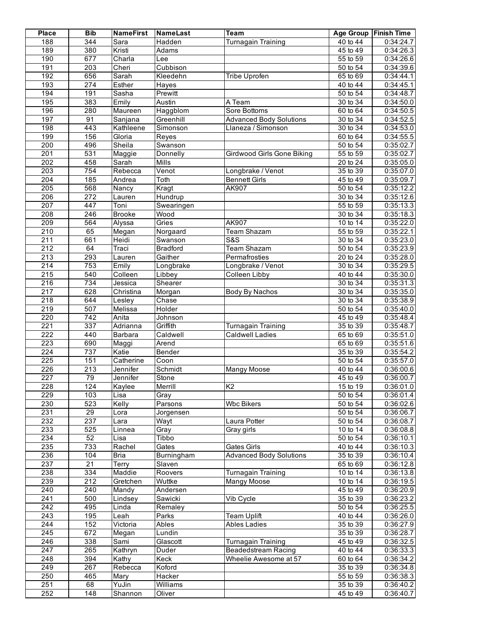| <b>Place</b>     | <b>Bib</b>       | <b>NameFirst</b> | NameLast        | <b>Team</b>                    |                         | Age Group   Finish Time |
|------------------|------------------|------------------|-----------------|--------------------------------|-------------------------|-------------------------|
| 188              | 344              | Sara             | Hadden          | <b>Turnagain Training</b>      | 40 to 44                | 0:34:24.7               |
| 189              | 380              | Kristi           | Adams           |                                | $45$ to $49$            | 0:34:26.3               |
| 190              | 677              | Charla           | Lee             |                                | 55 to 59                | 0:34:26.6               |
| 191              | $\overline{203}$ | Cheri            | Cubbison        |                                | 50 to 54                | 0:34:39.6               |
| 192              | 656              | Sarah            | Kleedehn        | Tribe Uprofen                  | 65 to 69                | 0:34:44.1               |
| 193              | 274              | Esther           | <b>Hayes</b>    |                                | 40 to 44                | 0:34:45.1               |
| 194              | 191              | Sasha            | Prewitt         |                                | 50 to 54                | 0:34:48.7               |
| 195              | 383              | Emily            | Austin          | A Team                         | 30 to 34                | 0:34:50.0               |
| 196              | 280              | Maureen          | Haggblom        | Sore Bottoms                   | 60 to 64                | 0:34:50.5               |
| 197              | 91               | Sanjana          | Greenhill       | <b>Advanced Body Solutions</b> | $30$ to $34$            | 0:34:52.5               |
| 198              | 443              | Kathleene        | Simonson        | Llaneza / Simonson             | 30 to 34                | 0:34:53.0               |
| 199              | 156              | Gloria           | Reyes           |                                | 60 to 64                | 0:34:55.5               |
| 200              | 496              | Sheila           | Swanson         |                                | 50 to 54                | 0:35:02.7               |
| 201              | 531              | Maggie           | Donnelly        | Girdwood Girls Gone Biking     | $\overline{55}$ to $59$ | 0:35:02.7               |
| $\overline{202}$ | 458              | Sarah            | <b>Mills</b>    |                                | 20 to 24                | 0:35:05.0               |
| 203              | 754              | Rebecca          | Venot           | Longbrake / Venot              | 35 to 39                | 0:35:07.0               |
| $\overline{204}$ | 185              | Andrea           | Toth            | <b>Bennett Girls</b>           | 45 to 49                | 0:35:09.7               |
| 205              | 568              | Nancy            | Kragt           | AK907                          | 50 to 54                | 0:35:12.2               |
| 206              | 272              | Lauren           | Hundrup         |                                | 30 to 34                | 0:35:12.6               |
| $\overline{207}$ | 447              | Toni             | Swearingen      |                                | 55 to 59                | 0:35:13.3               |
| $\overline{208}$ | $\overline{246}$ | <b>Brooke</b>    | Wood            |                                | 30 to 34                | 0:35:18.3               |
| 209              | 564              | Alyssa           | Gries           | AK907                          | 10 to 14                | 0:35:22.0               |
| 210              | 65               | Megan            | Norgaard        | <b>Team Shazam</b>             | 55 to 59                | 0:35:22.1               |
| 211              | 661              | Heidi            | Swanson         | S&S                            | 30 to 34                | 0:35:23.0               |
| $\overline{212}$ | 64               | Traci            | <b>Bradford</b> | Team Shazam                    | 50 to 54                | 0:35:23.9               |
| $\overline{213}$ | 293              | Lauren           | Gaither         | Permafrosties                  | 20 to 24                | 0:35:28.0               |
| $\overline{214}$ | 753              | Emily            | Longbrake       | Longbrake / Venot              | 30 to 34                | 0:35:29.5               |
| 215              | 540              | Colleen          | Libbey          | Colleen Libby                  | 40 to 44                | 0:35:30.0               |
| $\overline{216}$ | 734              | Jessica          | Shearer         |                                | 30 to 34                | 0:35:31.3               |
| $\overline{217}$ | 628              | Christina        | Morgan          | Body By Nachos                 | 30 to 34                | 0:35:35.0               |
| $\overline{218}$ | 644              | Lesley           | Chase           |                                | 30 to 34                | 0:35:38.9               |
| 219              | 507              | Melissa          | Holder          |                                | $\overline{50}$ to $54$ | 0:35:40.0               |
| 220              | 742              | Anita            | Johnson         |                                | 45 to 49                | 0:35:48.4               |
| 221              | 337              | Adrianna         | Griffith        | <b>Turnagain Training</b>      | 35 to 39                | 0:35:48.7               |
| $\overline{222}$ | 440              | Barbara          | Caldwell        | <b>Caldwell Ladies</b>         | 65 to 69                | 0:35:51.0               |
| 223              | 690              | Maggi            | Arend           |                                | 65 to 69                | 0:35:51.6               |
| 224              | 737              | Katie            | Bender          |                                | 35 to 39                | 0:35:54.2               |
| 225              | 151              | Catherine        | Coon            |                                | 50 to 54                | 0:35:57.0               |
| 226              | 213              | Jennifer         | Schmidt         | Mangy Moose                    | 40 to 44                | 0:36:00.6               |
| $\overline{227}$ | 79               | Jennifer         | Stone           |                                | 45 to 49                | 0:36:00.7               |
| 228              | 124              | Kaylee           | Merrill         | K <sub>2</sub>                 | 15 to 19                | 0:36:01.0               |
| 229              | 103              | Lisa             | Gray            |                                | 50 to 54                | 0:36:01.4               |
| 230              | 523              | Kelly            | Parsons         | <b>Wbc Bikers</b>              | 50 to 54                | 0:36:02.6               |
| 231              | $\overline{29}$  | Lora             | Jorgensen       |                                | 50 to 54                | 0:36:06.7               |
| 232              | 237              | Lara             | Wayt            | Laura Potter                   | 50 to 54                | 0:36:08.7               |
| 233              | 525              | Linnea           | Gray            | Gray girls                     | 10 to 14                | 0:36:08.8               |
| 234              | 52               | Lisa             | Tibbo           |                                | 50 to 54                | 0:36:10.1               |
| 235              | 733              | Rachel           | Gates           | Gates Girls                    | 40 to 44                | 0:36:10.3               |
| 236              | 104              | Bria             | Burningham      | <b>Advanced Body Solutions</b> | 35 to 39                | 0:36:10.4               |
| 237              | $\overline{21}$  | <b>Terry</b>     | Slaven          |                                | 65 to 69                | 0:36:12.8               |
| 238              | 334              | Maddie           | Roovers         | <b>Turnagain Training</b>      | 10 to 14                | 0:36:13.8               |
| 239              | 212              | Gretchen         | Wuttke          | Mangy Moose                    | 10 to 14                | 0:36:19.5               |
| 240              | 240              | Mandy            | Andersen        |                                | 45 to 49                | 0:36:20.9               |
| $\overline{241}$ | 500              | Lindsey          | Sawicki         | Vib Cycle                      | 35 to 39                | 0:36:23.2               |
| 242              | 495              | Linda            | Remaley         |                                | 50 to 54                | 0:36:25.5               |
| $\overline{243}$ | 195              | Leah             | Parks           | <b>Team Uplift</b>             | 40 to 44                | 0:36:26.0               |
| 244              | 152              | Victoria         | Ables           | <b>Ables Ladies</b>            | 35 to 39                | 0:36:27.9               |
| 245              | 672              | Megan            | Lundin          |                                | $\overline{35}$ to 39   | 0:36:28.7               |
| $\overline{246}$ | 338              | Sami             | Glascott        | Turnagain Training             | 45 to 49                | 0:36:32.5               |
| 247              | 265              | Kathryn          | Duder           | <b>Beadedstream Racing</b>     | 40 to 44                | 0:36:33.3               |
| 248              | 394              | Kathy            | Keck            | Wheelie Awesome at 57          | 60 to 64                | 0:36:34.2               |
| 249              | 267              | Rebecca          | Koford          |                                | $\overline{35}$ to 39   | 0:36:34.8               |
| 250              | 465              | Mary             | Hacker          |                                | 55 to 59                | 0:36:38.3               |
| 251              | 68               | YuJin            | Williams        |                                | 35 to 39                | 0:36:40.2               |
| 252              | 148              | Shannon          | Oliver          |                                | 45 to 49                | 0:36:40.7               |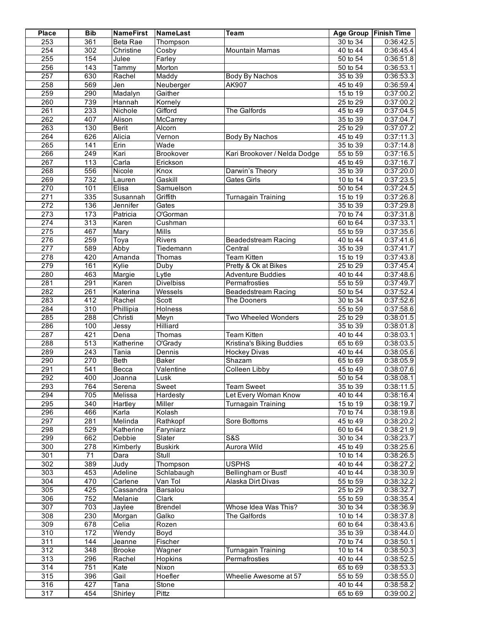| <b>Place</b>     | <b>Bib</b>       | <b>NameFirst</b> | NameLast                | Team                         |                                    | Age Group   Finish Time |
|------------------|------------------|------------------|-------------------------|------------------------------|------------------------------------|-------------------------|
| 253              | 361              | Beta Rae         | Thompson                |                              | 30 to 34                           | 0:36:42.5               |
| 254              | 302              | Christine        | Cosby                   | <b>Mountain Mamas</b>        | $\overline{40}$ to $\overline{44}$ | 0:36:45.4               |
| 255              | 154              | Julee            | Farley                  |                              | 50 to 54                           | 0:36:51.8               |
| 256              | 143              | Tammy            | Morton                  |                              | 50 to 54                           | 0:36:53.1               |
| 257              | 630              | Rachel           | Maddy                   | Body By Nachos               | 35 to 39                           | 0:36:53.3               |
| 258              | 569              | Jen              | Neuberger               | AK907                        | 45 to 49                           | 0:36:59.4               |
| 259              | 290              | Madalyn          | Gaither                 |                              | $15$ to $19$                       | 0:37:00.2               |
| 260              | 739              | Hannah           | Kornely                 |                              | 25 to 29                           | 0:37:00.2               |
| 261              | 233              | Nichole          | Gifford                 | The Galfords                 | 45 to 49                           | 0:37:04.5               |
| 262              | 407              | Alison           | McCarrey                |                              | $35$ to $39$                       | 0:37:04.7               |
| 263              | 130              | <b>Berit</b>     | Alcorn                  |                              | 25 to 29                           | 0:37:07.2               |
| 264              | 626              | Alicia           | $\overline{V}$ ernon    | Body By Nachos               | 45 to 49                           | 0:37:11.3               |
| 265              | 141              | Erin             | Wade                    |                              | 35 to 39                           | 0:37:14.8               |
| 266              | 249              | Kari             | Brookover               | Kari Brookover / Nelda Dodge | 55 to 59                           | 0:37:16.5               |
| 267              | 113              | Carla            | Erickson                |                              | 45 to 49                           | 0:37:16.7               |
| 268              | 556              | Nicole           | Knox                    | Darwin's Theory              | 35 to 39                           | 0:37:20.0               |
| 269              | 732              |                  | Gaskill                 | <b>Gates Girls</b>           | 10 to 14                           | 0:37:23.5               |
| 270              | 101              | Lauren<br>Elisa  | Samuelson               |                              | 50 to 54                           | 0:37:24.5               |
| $\overline{271}$ | 335              |                  | Griffith                |                              |                                    |                         |
|                  |                  | Susannah         |                         | <b>Turnagain Training</b>    | 15 to 19                           | 0:37:26.8               |
| 272              | 136              | Jennifer         | Gates                   |                              | 35 to 39                           | 0:37:29.8               |
| $\overline{273}$ | 173              | Patricia         | O'Gorman                |                              | 70 to 74                           | 0:37:31.8               |
| 274              | $\overline{313}$ | Karen            | Cushman                 |                              | 60 to 64                           | 0:37:33.1               |
| 275              | 467              | Mary             | Mills                   |                              | 55 to 59                           | 0:37:35.6               |
| 276              | 259              | Toya             | <b>Rivers</b>           | <b>Beadedstream Racing</b>   | 40 to 44                           | 0:37:41.6               |
| $\overline{277}$ | 589              | Abby             | Tiedemann               | Central                      | 35 to 39                           | 0:37:41.7               |
| $\overline{278}$ | 420              | Amanda           | Thomas                  | <b>Team Kitten</b>           | 15 to 19                           | 0:37:43.8               |
| 279              | 161              | Kylie            | Duby                    | Pretty & Ok at Bikes         | 25 to 29                           | 0:37:45.4               |
| 280              | 463              | Margie           | Lytle                   | <b>Adventure Buddies</b>     | 40 to 44                           | 0:37:48.6               |
| 281              | 291              | Karen            | <b>Divelbiss</b>        | Permafrosties                | 55 to 59                           | 0:37:49.7               |
| 282              | 261              | Katerina         | Wessels                 | Beadedstream Racing          | 50 to 54                           | 0:37:52.4               |
| 283              | 412              | Rachel           | Scott                   | <b>The Dooners</b>           | 30 to 34                           | 0:37:52.6               |
| 284              | $\overline{310}$ | Phillipia        | <b>Holness</b>          |                              | 55 to 59                           | 0:37:58.6               |
| 285              | 288              | Christi          | Meyn                    | Two Wheeled Wonders          | $25$ to 29                         | 0:38:01.5               |
| 286              | 100              | Jessy            | <b>Hilliard</b>         |                              | 35 to 39                           | 0:38:01.8               |
| 287              | 421              | Dena             | Thomas                  | <b>Team Kitten</b>           | 40 to $44$                         | 0:38:03.1               |
| 288              | $\overline{513}$ | Katherine        | O'Grady                 | Kristina's Biking Buddies    | 65 to 69                           | 0:38:03.5               |
| 289              | 243              | Tania            | Dennis                  | <b>Hockey Divas</b>          | 40 to 44                           | 0:38:05.6               |
| 290              | 270              | <b>Beth</b>      | Baker                   | Shazam                       | 65 to 69                           | 0:38:05.9               |
| 291              | 541              | Becca            | Valentine               | Colleen Libby                | 45 to 49                           | 0:38:07.6               |
| 292              | 400              | Joanna           | Lusk                    |                              | 50 to 54                           | 0:38:08.1               |
| 293              | 764              | Serena           | Sweet                   | <b>Team Sweet</b>            | 35 to 39                           | 0:38:11.5               |
| 294              | 705              | Melissa          | Hardesty                | Let Every Woman Know         | 40 to 44                           | 0:38:16.4               |
| 295              | $\overline{340}$ | Hartley          | Miller                  | <b>Turnagain Training</b>    | 15 to 19                           | 0:38:19.7               |
| 296              | 466              | Karla            | Kolash                  |                              | 70 to 74                           | 0.38:19.8               |
| 297              | 281              | Melinda          | Rathkopf                | Sore Bottoms                 | 45 to 49                           | 0:38:20.2               |
| 298              | 529              | Katherine        | Faryniarz               |                              | 60 to 64                           | 0:38:21.9               |
| 299              | 662              | Debbie           | Slater                  | S&S                          | 30 to 34                           | 0:38:23.7               |
| 300              | 278              | Kimberly         | <b>Buskirk</b>          | Aurora Wild                  | $45$ to $49$                       | 0:38:25.6               |
| 301              | 71               | Dara             | Stull                   |                              | 10 to 14                           | 0:38:26.5               |
| 302              | 389              | Judy             | Thompson                | <b>USPHS</b>                 | 40 to 44                           | 0:38:27.2               |
| 303              | 453              | Adeline          | Schlabaugh              | Bellingham or Bust!          | 40 to 44                           | 0:38:30.9               |
| $\overline{304}$ | 470              | Carlene          | Van Tol                 | Alaska Dirt Divas            | $\overline{55}$ to $59$            | 0:38:32.2               |
| 305              | 425              | Cassandra        | Barsalou                |                              | $25$ to 29                         | 0:38:32.7               |
| 306              | 752              | Melanie          | Clark                   |                              | 55 to 59                           | 0:38:35.4               |
| $\overline{307}$ | 703              |                  |                         | Whose Idea Was This?         | 30 to 34                           |                         |
| 308              | 230              | Jaylee           | <b>Brendel</b><br>Galko | The Galfords                 | 10 to 14                           | 0:38:36.9<br>0:38:37.8  |
|                  |                  | Morgan           |                         |                              |                                    |                         |
| 309              | 678              | Celia            | Rozen                   |                              | 60 to 64                           | 0:38:43.6               |
| $\overline{310}$ | $\overline{172}$ | Wendy            | Boyd                    |                              | 35 to 39                           | 0:38:44.0               |
| $\overline{311}$ | 144              | Jeanne           | Fischer                 |                              | 70 to 74                           | 0:38:50.1               |
| $\overline{312}$ | 348              | <b>Brooke</b>    | Wagner                  | <b>Turnagain Training</b>    | 10 to 14                           | 0:38:50.3               |
| 313              | 296              | Rachel           | Hopkins                 | Permafrosties                | 40 to 44                           | 0:38:52.5               |
| $\overline{314}$ | 751              | Kate             | <b>Nixon</b>            |                              | 65 to 69                           | 0:38:53.3               |
| 315              | 396              | Gail             | Hoefler                 | Wheelie Awesome at 57        | 55 to 59                           | 0:38:55.0               |
| 316              | 427              | Tana             | Stone                   |                              | 40 to 44                           | 0:38:58.2               |
| $\overline{317}$ | 454              | Shirley          | Pittz                   |                              | 65 to 69                           | 0:39:00.2               |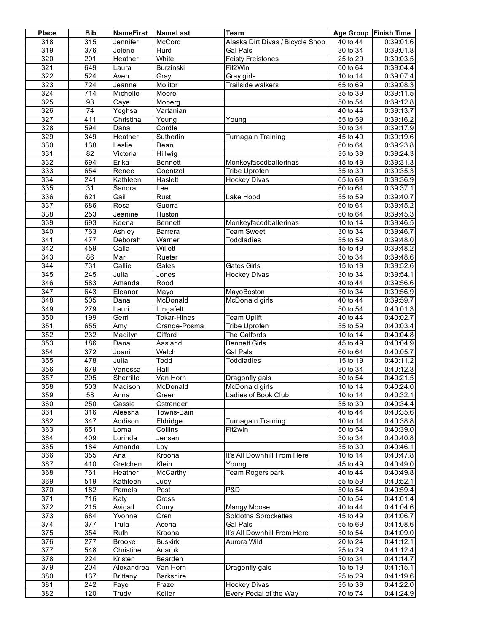| <b>Place</b>                         | <b>Bib</b>              | <b>NameFirst</b>  | NameLast           | <b>Team</b>                             |                                    | Age Group Finish Time  |
|--------------------------------------|-------------------------|-------------------|--------------------|-----------------------------------------|------------------------------------|------------------------|
| 318                                  | 315                     | Jennifer          | McCord             | Alaska Dirt Divas / Bicycle Shop        | 40 to 44                           | 0:39:01.6              |
| 319                                  | 376                     | Jolene            | Hurd               | <b>Gal Pals</b>                         | 30 to 34                           | 0:39:01.8              |
| 320                                  | $\overline{201}$        | Heather           | White              | <b>Feisty Freistones</b>                | 25 to 29                           | 0:39:03.5              |
| 321                                  | 649                     | Laura             | Burzinski          | Fit2Win                                 | 60 to 64                           | 0:39:04.4              |
| 322                                  | 524                     | Aven              | Gray               | Gray girls                              | 10 to 14                           | 0:39:07.4              |
| 323                                  | $\overline{724}$        | Jeanne            | Molitor            | <b>Trailside walkers</b>                | 65 to 69                           | 0:39:08.3              |
| 324                                  | $\overline{714}$        | Michelle          | Moore              |                                         | 35 to 39                           | 0:39:11.5              |
| 325                                  | 93                      | Caye              | Moberg             |                                         | 50 to 54                           | 0:39:12.8              |
| 326                                  | $\overline{74}$         | Yeghsa            | Vartanian          |                                         | 40 to 44                           | 0:39:13.7              |
| 327                                  | 411                     | Christina         | Young              | Young                                   | 55 to 59                           | 0:39:16.2              |
| 328                                  | 594                     | Dana              | Cordle             |                                         | 30 to 34                           | 0:39:17.9              |
| 329<br>330                           | $\overline{349}$<br>138 | Heather<br>Leslie | Sutherlin<br>Dean  | Turnagain Training                      | 45 to 49<br>60 to 64               | 0:39:19.6<br>0:39:23.8 |
| 331                                  | $\overline{82}$         | Victoria          | Hillwig            |                                         | 35 to 39                           | 0:39:24.3              |
| 332                                  | 694                     | Erika             | Bennett            | Monkeyfacedballerinas                   | 45 to 49                           | 0:39:31.3              |
| 333                                  | 654                     | Renee             | Goentzel           | Tribe Uprofen                           | 35 to 39                           | 0:39:35.3              |
| 334                                  | $\overline{241}$        | Kathleen          | Haslett            | <b>Hockey Divas</b>                     | $65$ to $69$                       | 0:39:36.9              |
| 335                                  | $\overline{31}$         | Sandra            | Lee                |                                         | 60 to 64                           | 0:39:37.1              |
| 336                                  | 621                     | Gail              | Rust               | Lake Hood                               | 55 to 59                           | 0:39:40.7              |
| 337                                  | 686                     | Rosa              | Guerra             |                                         | $60$ to $64$                       | 0:39:45.2              |
| 338                                  | 253                     | Jeanine           | Huston             |                                         | 60 to 64                           | 0:39:45.3              |
| 339                                  | 693                     | Keena             | Bennett            | Monkeyfacedballerinas                   | 10 to 14                           | 0:39:46.5              |
| $\overline{340}$                     | 763                     | Ashley            | Barrera            | <b>Team Sweet</b>                       | 30 to 34                           | 0:39:46.7              |
| $\overline{341}$                     | 477                     | Deborah           | Warner             | <b>Toddladies</b>                       | $55$ to $59$                       | 0:39:48.0              |
| $\overline{342}$                     | 459                     | Calla             | Willett            |                                         | 45 to 49                           | 0:39:48.2              |
| $\overline{343}$                     | 86                      | Mari              | Rueter             |                                         | 30 to 34                           | 0:39:48.6              |
| $\overline{344}$                     | 731                     | Callie            | Gates              | <b>Gates Girls</b>                      | 15 to 19                           | 0:39:52.6              |
| $\overline{345}$                     | $\overline{245}$        | Julia             | Jones              | <b>Hockey Divas</b>                     | 30 to 34                           | 0:39:54.1              |
| 346                                  | 583                     | Amanda            | Rood               |                                         | 40 to 44                           | 0:39:56.6              |
| $\overline{347}$                     | 643                     | Eleanor           | Mayo               | MayoBoston                              | 30 to 34                           | 0:39:56.9              |
| $\overline{348}$                     | 505                     | Dana              | McDonald           | McDonald girls                          | 40 to 44                           | 0:39:59.7              |
| 349                                  | 279                     | Lauri             | Lingafelt          |                                         | 50 to 54                           | 0:40:01.3              |
| 350                                  | 199                     | Gerri             | <b>Tokar-Hines</b> | <b>Team Uplift</b>                      | 40 to 44                           | 0:40:02.7              |
| 351                                  | 655                     | $\overline{A}$ my | Orange-Posma       | <b>Tribe Uprofen</b>                    | 55 to 59                           | 0:40:03.4              |
| 352<br>353                           | 232                     | Madilyn           | Gifford            | The Galfords                            | 10 to 14<br>$45$ to $49$           | 0:40:04.8<br>0:40:04.9 |
| 354                                  | 186<br>$\overline{372}$ | Dana<br>Joani     | Aasland<br>Welch   | <b>Bennett Girls</b><br><b>Gal Pals</b> | 60 to 64                           | 0:40:05.7              |
| 355                                  | 478                     | Julia             | Todd               | <b>Toddladies</b>                       | 15 to 19                           | 0:40:11.2              |
| 356                                  | 679                     | Vanessa           | Hall               |                                         | 30 to 34                           | 0:40:12.3              |
| $\overline{357}$                     | $\overline{205}$        | Sherrille         | Van Horn           | Dragonfly gals                          | 50 to 54                           | 0:40:21.5              |
| 358                                  | 503                     | Madison           | McDonald           | McDonald girls                          | 10 to 14                           | 0:40:24.0              |
| 359                                  | 58                      | Anna              | Green              | Ladies of Book Club                     | 10 to 14                           | 0:40:32.1              |
| 360                                  | 250                     | Cassie            | Ostrander          |                                         | 35 to 39                           | 0:40:34.4              |
| 361                                  | 316                     | Aleesha           | Towns-Bain         |                                         | 40 to 44                           | 0:40:35.6              |
| 362                                  | 347                     | Addison           | Eldridge           | <b>Turnagain Training</b>               | 10 to 14                           | 0:40:38.8              |
| 363                                  | 651                     | Lorna             | Collins            | Fit <sub>2win</sub>                     | 50 to 54                           | 0:40:39.0              |
| 364                                  | 409                     | Lorinda           | Jensen             |                                         | $\overline{30}$ to $\overline{34}$ | 0:40:40.8              |
| 365                                  | 184                     | Amanda            | Loy                |                                         | 35 to 39                           | 0:40:46.1              |
| 366                                  | 355                     | Ana               | Kroona             | It's All Downhill From Here             | 10 to 14                           | 0:40:47.8              |
| 367                                  | 410                     | Gretchen          | Klein              | Young                                   | 45 to 49                           | 0:40:49.0              |
| 368                                  | 761                     | Heather           | McCarthy           | Team Rogers park                        | 40 to 44                           | 0:40:49.8              |
| 369                                  | $\overline{519}$        | Kathleen          | Judy               |                                         | 55 to 59                           | 0:40:52.1              |
| $\overline{370}$                     | 182                     | Pamela            | Post               | P&D                                     | 50 to 54                           | 0:40:59.4              |
| $\overline{371}$                     | 716                     | Katy              | Cross              |                                         | 50 to 54                           | 0:41:01.4              |
| $\overline{372}$                     | 215                     | Avigail           | Curry              | <b>Mangy Moose</b>                      | 40 to 44                           | 0:41:04.6              |
| $\overline{373}$<br>$\overline{374}$ | 684<br>$\overline{377}$ | Yvonne            | Oren<br>Acena      | Soldotna Sprockettes<br><b>Gal Pals</b> | 45 to 49<br>65 to 69               | 0:41:06.7<br>0:41:08.6 |
| 375                                  | 354                     | Trula<br>Ruth     | Kroona             | It's All Downhill From Here             | 50 to 54                           | 0:41:09.0              |
| 376                                  | 277                     | <b>Brooke</b>     | <b>Buskirk</b>     | Aurora Wild                             | 20 to 24                           | 0:41:12.1              |
| $\overline{377}$                     | 548                     | Christine         | Anaruk             |                                         | 25 to 29                           | 0:41:12.4              |
| $\overline{378}$                     | 224                     | Kristen           | Bearden            |                                         | 30 to 34                           | 0:41:14.7              |
| $\overline{379}$                     | 204                     | Alexandrea        | Van Horn           | Dragonfly gals                          | 15 to 19                           | 0:41:15.1              |
| 380                                  | 137                     | <b>Brittany</b>   | <b>Barkshire</b>   |                                         | 25 to 29                           | 0:41:19.6              |
| 381                                  | 242                     | Faye              | Fraze              | <b>Hockey Divas</b>                     | 35 to 39                           | 0:41:22.0              |
| 382                                  | 120                     | Trudy             | Keller             | Every Pedal of the Way                  | 70 to 74                           | 0:41:24.9              |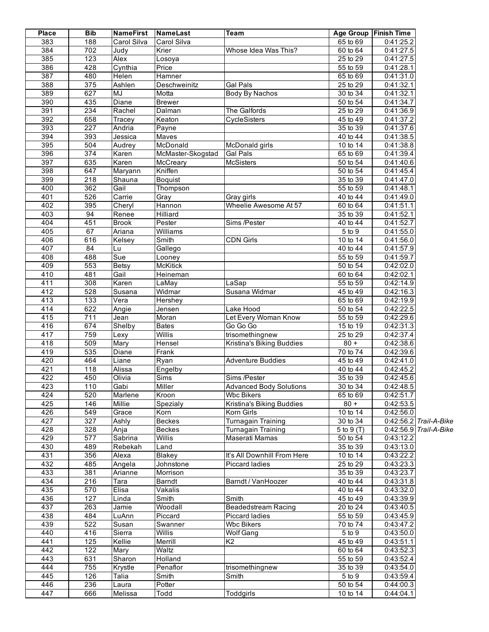| <b>Place</b> | <b>Bib</b>        | <b>NameFirst</b>  | NameLast                      | <b>Team</b>                                | Age Group             | Finish Time            |                        |
|--------------|-------------------|-------------------|-------------------------------|--------------------------------------------|-----------------------|------------------------|------------------------|
| 383          | 188               | Carol Silva       | Carol Silva                   |                                            | 65 to 69              | 0:41:25.2              |                        |
| 384          | 702               | Judy              | Krier                         | Whose Idea Was This?                       | 60 to 64              | 0:41:27.5              |                        |
| 385          | 123               | Alex              | Losoya                        |                                            | $25$ to 29            | 0:41:27.5              |                        |
| 386          | 428               | Cynthia           | Price                         |                                            | 55 to 59              | 0:41:28.1              |                        |
| 387          | 480               | Helen             | Hamner                        |                                            | 65 to 69              | 0:41:31.0              |                        |
| 388          | 375               | Ashlen            | Deschweinitz                  | <b>Gal Pals</b>                            | 25 to 29              | 0:41:32.1              |                        |
| 389          | 627               | MJ                | Motta                         | Body By Nachos                             | 30 to 34              | 0:41:32.1              |                        |
| 390          | 435               | <b>Diane</b>      | <b>Brewer</b>                 |                                            | 50 to 54              | 0:41:34.7              |                        |
| 391          | 234               | Rachel            | Dalman                        | The Galfords                               | 25 to 29              | 0:41:36.9              |                        |
| 392          | 658               | Tracey            | Keaton                        | <b>CycleSisters</b>                        | 45 to 49              | 0:41:37.2              |                        |
| 393          | $\overline{227}$  | Andria            | Payne                         |                                            | 35 to 39              | 0:41:37.6              |                        |
| 394          | 393               | Jessica           | Maves<br>McDonald             |                                            | 40 to 44              | 0:41:38.5              |                        |
| 395<br>396   | 504<br>374        | Audrey            |                               | McDonald girls                             | 10 to 14              | 0:41:38.8              |                        |
| 397          | 635               | Karen             | McMaster-Skogstad<br>McCreary | <b>Gal Pals</b><br><b>McSisters</b>        | 65 to 69<br>50 to 54  | 0:41:39.4<br>0:41:40.6 |                        |
| 398          | 647               | Karen             | Kniffen                       |                                            | 50 to 54              | 0:41:45.4              |                        |
| 399          | $\overline{218}$  | Maryann<br>Shauna | <b>Boquist</b>                |                                            | 35 to 39              | 0:41:47.0              |                        |
| 400          | 362               | Gail              | Thompson                      |                                            | 55 to 59              | 0:41:48.1              |                        |
| 401          | 526               | Carrie            | Gray                          | Gray girls                                 | 40 to 44              | 0:41:49.0              |                        |
| 402          | 395               | Cheryl            | Hannon                        | Wheelie Awesome At 57                      | 60 to 64              | 0:41:51.1              |                        |
| 403          | 94                | Renee             | <b>Hilliard</b>               |                                            | 35 to 39              | 0:41:52.1              |                        |
| 404          | 451               | <b>Brook</b>      | Pester                        | Sims /Pester                               | 40 to 44              | 0:41:52.7              |                        |
| 405          | 67                | Ariana            | Williams                      |                                            | 5 to 9                | 0:41:55.0              |                        |
| 406          | 616               | Kelsey            | Smith                         | <b>CDN Girls</b>                           | $\overline{10}$ to 14 | 0:41:56.0              |                        |
| 407          | 84                | Lu                | Gallego                       |                                            | 40 to 44              | 0:41:57.9              |                        |
| 408          | 488               | Sue               | Looney                        |                                            | 55 to 59              | 0:41:59.7              |                        |
| 409          | 553               | Betsy             | <b>McKitick</b>               |                                            | 50 to 54              | 0:42:02.0              |                        |
| 410          | 481               | Gail              | Heineman                      |                                            | 60 to 64              | 0:42:02.1              |                        |
| 411          | 308               | Karen             | LaMay                         | LaSap                                      | 55 to 59              | 0:42:14.9              |                        |
| 412          | 528               | Susana            | Widmar                        | Susana Widmar                              | 45 to 49              | 0:42:16.3              |                        |
| 413          | $\overline{133}$  | Vera              | Hershey                       |                                            | 65 to 69              | 0:42:19.9              |                        |
| 414          | 622               | Angie             | Jensen                        | Lake Hood                                  | 50 to 54              | 0:42:22.5              |                        |
| 415          | 711               | Jean              | Moran                         | Let Every Woman Know                       | 55 to 59              | 0:42:29.6              |                        |
| 416          | 674               | Shelby            | <b>Bates</b>                  | Go Go Go                                   | 15 to 19              | 0:42:31.3              |                        |
| 417<br>418   | 759<br>509        | Lexy              | <b>Willis</b>                 | trisomethingnew                            | 25 to 29<br>$80 +$    | 0:42:37.4              |                        |
| 419          | 535               | Mary<br>Diane     | Hensel<br>Frank               | Kristina's Biking Buddies                  | 70 to 74              | 0:42:38.6<br>0:42:39.6 |                        |
| 420          | 464               | Liane             | Ryan                          | <b>Adventure Buddies</b>                   | 45 to 49              | 0:42:41.0              |                        |
| 421          | 118               | Alissa            | Engelby                       |                                            | 40 to 44              | 0:42:45.2              |                        |
| 422          | 450               | Olivia            | Sims                          | Sims /Pester                               | 35 to 39              | 0:42:45.6              |                        |
| 423          | $\frac{110}{110}$ | Gabi              | Miller                        | <b>Advanced Body Solutions</b>             | 30 to 34              | 0:42:48.5              |                        |
| 424          | 520               | Marlene           | Kroon                         | <b>Wbc Bikers</b>                          | 65 to 69              | 0:42:51.7              |                        |
| 425          | 146               | Millie            | Spezialy                      | Kristina's Biking Buddies                  | $\overline{80}$ +     | 0:42:53.5              |                        |
| 426          | 549               | Grace             | Korn                          | Korn Girls                                 | 10 to 14              | 0:42:56.0              |                        |
| 427          | $\overline{327}$  | Ashly             | <b>Beckes</b>                 | Turnagain Training                         | 30 to 34              |                        | 0:42:56.2 Trail-A-Bike |
| 428          | 328               | Anja              | <b>Beckes</b>                 | <b>Turnagain Training</b>                  | 5 to 9 (T)            |                        | 0:42:56.9 Trail-A-Bike |
| 429          | $\overline{577}$  | Sabrina           | Willis                        | Maserati Mamas                             | 50 to 54              | 0:43:12.2              |                        |
| 430          | 489               | Rebekah           | Land                          |                                            | 35 to 39              | 0:43:13.0              |                        |
| 431          | 356               | Alexa             | Blakey                        | It's All Downhill From Here                | 10 to 14              | 0:43:22.2              |                        |
| 432          | 485               | Angela            | Johnstone                     | <b>Piccard ladies</b>                      | 25 to 29              | 0:43:23.3              |                        |
| 433          | 381               | Arianne           | Morrison                      |                                            | 35 to 39              | 0:43:23.7              |                        |
| 434          | 216               | Tara              | Barndt                        | Barndt / VanHoozer                         | 40 to 44              | $\overline{0.43:31.8}$ |                        |
| 435          | 570               | Elisa             | Vakalis                       |                                            | 40 to 44              | 0:43:32.0              |                        |
| 436          | 127               | Linda             | Smith                         | Smith                                      | 45 to 49              | 0:43:39.9              |                        |
| 437          | 263               | Jamie             | Woodall                       | Beadedstream Racing                        | 20 to 24              | 0:43:40.5              |                        |
| 438<br>439   | 484<br>522        | LuAnn             | Piccard                       | <b>Piccard ladies</b><br><b>Wbc Bikers</b> | 55 to 59<br>70 to 74  | 0:43:45.9<br>0:43:47.2 |                        |
| 440          | 416               | Susan<br>Sierra   | Swanner<br>Willis             | Wolf Gang                                  | 5 to 9                | 0:43:50.0              |                        |
| 441          | 125               | Kellie            | Merrill                       | K <sub>2</sub>                             | 45 to 49              | 0:43:51.1              |                        |
| 442          | 122               | Mary              | Waltz                         |                                            | 60 to 64              | 0:43:52.3              |                        |
| 443          | 631               | Sharon            | Holland                       |                                            | 55 to 59              | 0:43:52.4              |                        |
| 444          | 755               | Krystle           | Penaflor                      | trisomethingnew                            | $\overline{35}$ to 39 | 0:43:54.0              |                        |
| 445          | 126               | Talia             | Smith                         | Smith                                      | 5 to 9                | 0:43:59.4              |                        |
| 446          | 236               | Laura             | Potter                        |                                            | 50 to 54              | 0:44:00.3              |                        |
| 447          | 666               | Melissa           | Todd                          | Toddgirls                                  | 10 to 14              | 0:44:04.1              |                        |
|              |                   |                   |                               |                                            |                       |                        |                        |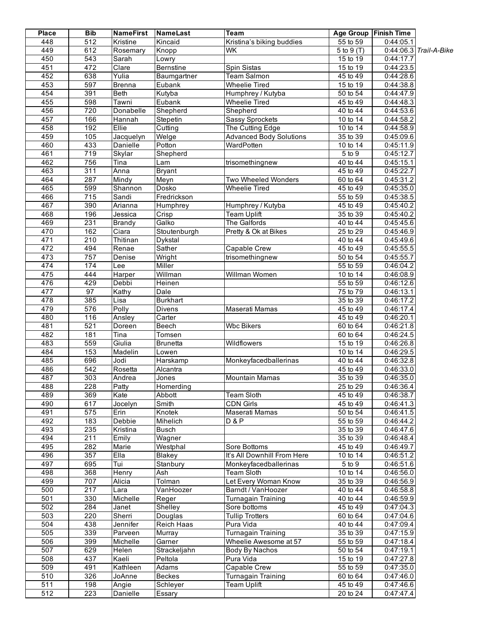| <b>Place</b>     | <b>Bib</b>       | <b>NameFirst</b> | NameLast         | Team                           | <b>Age Group</b>        | <b>Finish Time</b> |                        |
|------------------|------------------|------------------|------------------|--------------------------------|-------------------------|--------------------|------------------------|
| 448              | $\overline{512}$ | Kristine         | Kincaid          | Kristina's biking buddies      | 55 to 59                | 0:44:05.1          |                        |
| 449              | 612              | Rosemary         | Knopp            | <b>WK</b>                      | 5 to 9 (T)              |                    | 0:44:06.3 Trail-A-Bike |
| 450              | $\overline{543}$ | Sarah            | Lowry            |                                | 15 to 19                | 0:44:17.7          |                        |
| 451              | 472              | Clare            | <b>Bernstine</b> | Spin Sistas                    | 15 to 19                | 0:44:23.5          |                        |
| 452              | 638              | Yulia            | Baumgartner      | <b>Team Salmon</b>             | 45 to 49                | 0:44:28.6          |                        |
| 453              | 597              | <b>Brenna</b>    | Eubank           | <b>Wheelie Tired</b>           | 15 to 19                | 0:44:38.8          |                        |
| 454              | 391              | Beth             | Kutyba           | Humphrey / Kutyba              | $\overline{50}$ to $54$ | 0:44:47.9          |                        |
| 455              | 598              | Tawni            | Eubank           | <b>Wheelie Tired</b>           | 45 to 49                | 0:44:48.3          |                        |
| 456              | 720              | Donabelle        | Shepherd         | Shepherd                       | 40 to 44                | 0:44:53.6          |                        |
| 457              | 166              | Hannah           | Stepetin         | Sassy Sprockets                | 10 to 14                | 0:44:58.2          |                        |
| 458              | 192              | Ellie            | Cutting          | The Cutting Edge               | 10 to 14                | 0:44:58.9          |                        |
| 459              | 105              | Jacquelyn        | Welge            | <b>Advanced Body Solutions</b> | $35$ to $39$            | 0:45:09.6          |                        |
| 460              | 433              | <b>Danielle</b>  | Potton           | WardPotten                     | 10 to 14                | 0:45:11.9          |                        |
| 461              | $\overline{719}$ | Skylar           | Shepherd         |                                | 5 to 9                  | 0:45:12.7          |                        |
| 462              | 756              | Tina             | Lam              | trisomethingnew                | 40 to 44                | 0:45:15.1          |                        |
| 463              | 311              | Anna             | <b>Bryant</b>    |                                | 45 to 49                | 0:45:22.7          |                        |
| 464              | 287              | Mindy            | Meyn             | Two Wheeled Wonders            | 60 to 64                | 0:45:31.2          |                        |
| 465              | 599              | Shannon          | Dosko            | <b>Wheelie Tired</b>           | 45 to 49                | 0:45:35.0          |                        |
| 466              | $\overline{715}$ | Sandi            | Fredrickson      |                                | 55 to 59                | 0:45:38.5          |                        |
| 467              | 390              | Arianna          | Humphrey         | Humphrey / Kutyba              | 45 to 49                | 0:45:40.2          |                        |
| 468              | 196              | Jessica          | Crisp            | <b>Team Uplift</b>             | 35 to 39                | 0:45:40.2          |                        |
| 469              | 231              | <b>Brandy</b>    | Galko            | The Galfords                   | 40 to 44                | 0:45:45.6          |                        |
| 470              | 162              | Ciara            | Stoutenburgh     | Pretty & Ok at Bikes           | 25 to 29                | 0:45:46.9          |                        |
| 471              | $\overline{210}$ | Thitinan         | Dykstal          |                                | 40 to 44                | 0:45:49.6          |                        |
| 472              | 494              | Renae            | Sather           | Capable Crew                   | 45 to 49                | 0:45:55.5          |                        |
| 473              | 757              | Denise           | Wright           | trisomethingnew                | 50 to 54                | 0:45:55.7          |                        |
| 474              | 174              | Lee              | Miller           |                                | $\overline{55}$ to $59$ | 0:46:04.2          |                        |
| 475              | 444              | Harper           | Willman          | Willman Women                  | $10$ to $14$            | 0:46:08.9          |                        |
| 476              | 429              | Debbi            | Heinen           |                                | 55 to 59                | 0:46:12.6          |                        |
| 477              | 97               | Kathy            | Dale             |                                | 75 to 79                | 0:46:13.1          |                        |
| 478              | 385              | Lisa             | <b>Burkhart</b>  |                                | 35 to 39                | 0:46:17.2          |                        |
| 479              | 576              | Polly            | <b>Divens</b>    | Maserati Mamas                 | 45 to 49                | 0:46:17.4          |                        |
| 480              | 116              | Ansley           | Carter           |                                | 45 to 49                | 0:46:20.1          |                        |
| 481              | 521              | Doreen           | Beech            | <b>Wbc Bikers</b>              | 60 to 64                | 0:46:21.8          |                        |
| 482              | 181              | Tina             | Tomsen           |                                | 60 to 64                | 0:46:24.5          |                        |
| 483              | 559              | Giulia           | <b>Brunetta</b>  | Wildflowers                    | 15 to 19                | 0:46:26.8          |                        |
| 484              | 153              | Madelin          | Lowen            |                                | $\overline{10}$ to 14   | 0:46:29.5          |                        |
| 485              | 696              | Jodi             | Harskamp         | Monkeyfacedballerinas          | 40 to 44                | 0:46:32.8          |                        |
| 486              | $\overline{542}$ | Rosetta          | Alcantra         |                                | 45 to 49                | 0.46:33.0          |                        |
| 487              | 303              | Andrea           | Jones            | <b>Mountain Mamas</b>          | 35 to 39                | 0:46:35.0          |                        |
| 488              | 228              | Patty            | Homerding        |                                | 25 to 29                | 0:46:36.4          |                        |
| 489              | 369              | Kate             | Abbott           | Team Sloth                     | 45 to 49                | 0:46:38.7          |                        |
| 490              | 617              | Jocelyn          | Smith            | <b>CDN Girls</b>               | 45 to 49                | 0:46:41.3          |                        |
| 491              | 575              | Erin             | Knotek           | Maserati Mamas                 | 50 to 54                | 0:46:41.5          |                        |
| 492              | 183              | Debbie           | Mihelich         | D & P                          | 55 to 59                | 0:46:44.2          |                        |
| 493              | 235              | Kristina         | Busch            |                                | 35 to 39                | 0:46:47.6          |                        |
| 494              | $\overline{211}$ | Emily            | Wagner           |                                | 35 to 39                | 0:46:48.4          |                        |
| 495              | 282              | Marie            | Westphal         | Sore Bottoms                   | 45 to 49                | 0:46:49.7          |                        |
| 496              | 357              | Ella             | Blakey           | It's All Downhill From Here    | $\overline{10}$ to 14   | 0:46:51.2          |                        |
| 497              | 695              | Tui              | Stanbury         | Monkeyfacedballerinas          | 5 to 9                  | 0:46:51.6          |                        |
| 498              | 368              | Henry            | Ash              | <b>Team Sloth</b>              | 10 to 14                | 0:46:56.0          |                        |
| 499              | 707              | Alicia           | Tolman           | Let Every Woman Know           | 35 to 39                | 0:46:56.9          |                        |
| 500              | $\overline{217}$ | Lara             | VanHoozer        | Barndt / VanHoozer             | 40 to 44                | 0:46:58.8          |                        |
| 501              | 330              | Michelle         | Reger            | Turnagain Training             | 40 to 44                | 0:46:59.9          |                        |
| 502              | 284              | Janet            | Shelley          | Sore bottoms                   | 45 to 49                | 0:47:04.3          |                        |
| 503              | $\overline{220}$ | Sherri           | Douglas          | <b>Tullip Trotters</b>         | 60 to 64                | 0:47:04.6          |                        |
| 504              | 438              | Jennifer         | Reich Haas       | Pura Vida                      | $\overline{40}$ to 44   | 0:47:09.4          |                        |
| 505              | 339              | Parveen          | Murray           | Turnagain Training             | 35 to 39                | 0:47:15.9          |                        |
| 506              | 399              | Michelle         | Garner           | Wheelie Awesome at 57          | 55 to 59                | 0:47:18.4          |                        |
| 507              | 629              | Helen            | Strackeljahn     | Body By Nachos                 | 50 to 54                | 0:47:19.1          |                        |
| 508              | 437              | Kaeli            | Peltola          | Pura Vida                      | 15 to 19                | 0:47:27.8          |                        |
| 509              | 491              | Kathleen         | Adams            | Capable Crew                   | 55 to 59                | 0:47:35.0          |                        |
| $\overline{510}$ | 326              | JoAnne           | <b>Beckes</b>    | Turnagain Training             | 60 to 64                | 0:47:46.0          |                        |
| 511              | 198              | Angie            | Schleyer         | <b>Team Uplift</b>             | 45 to 49                | 0:47:46.6          |                        |
| $\overline{512}$ | 223              | Danielle         | Essary           |                                | 20 to 24                | 0:47:47.4          |                        |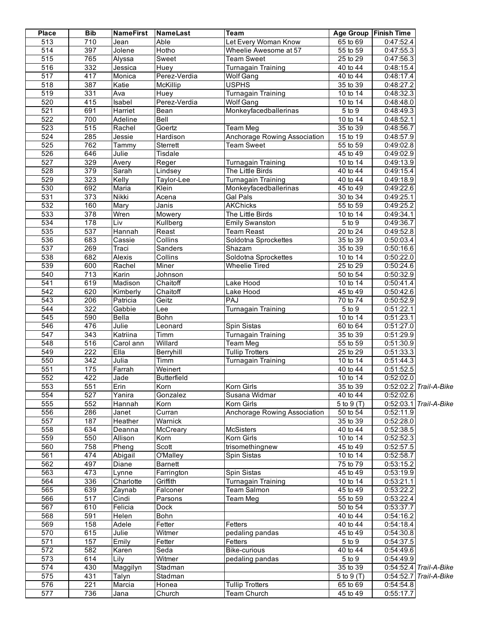| <b>Place</b>     | <b>Bib</b>       | <b>NameFirst</b> | NameLast           | <b>Team</b>                  | <b>Age Group</b>        | <b>Finish Time</b> |                        |
|------------------|------------------|------------------|--------------------|------------------------------|-------------------------|--------------------|------------------------|
| $\overline{513}$ | $\overline{710}$ | Jean             | Able               | Let Every Woman Know         | 65 to 69                | 0:47:52.4          |                        |
| $\overline{514}$ | 397              | Jolene           | Hotho              | Wheelie Awesome at 57        | 55 to 59                | 0:47:55.3          |                        |
| 515              | 765              | Alyssa           | Sweet              | <b>Team Sweet</b>            | 25 to 29                | 0:47:56.3          |                        |
| 516              | 332              | Jessica          | Huey               | Turnagain Training           | 40 to 44                | 0:48:15.4          |                        |
| $\overline{517}$ | 417              | Monica           | Perez-Verdia       | <b>Wolf Gang</b>             | 40 to 44                | 0:48:17.4          |                        |
| 518              | 387              | Katie            | McKillip           | <b>USPHS</b>                 | 35 to 39                | 0:48:27.2          |                        |
| 519              | 331              | Ava              | Huey               | <b>Turnagain Training</b>    | $\overline{10}$ to 14   | 0:48:32.3          |                        |
| 520              | 415              | Isabel           | Perez-Verdia       | Wolf Gang                    | 10 to 14                | 0:48:48.0          |                        |
| 521              | 691              | Harriet          | Bean               | Monkeyfacedballerinas        | 5 to 9                  | 0:48:49.3          |                        |
| 522              | 700              | Adeline          | Bell               |                              | 10 to 14                | 0:48:52.1          |                        |
| 523              | $\overline{515}$ | Rachel           | Goertz             | <b>Team Meg</b>              | 35 to 39                | 0:48:56.7          |                        |
| 524              | 285              | Jessie           | Hardison           | Anchorage Rowing Association | 15 to 19                | 0:48:57.9          |                        |
| 525              | 762              | Tammy            | Sterrett           | <b>Team Sweet</b>            | 55 to 59                | 0:49:02.8          |                        |
| 526              | 646              | Julie            | Tisdale            |                              | 45 to 49                | 0:49:02.9          |                        |
| $\overline{527}$ | 329              | Avery            | Reger              | <b>Turnagain Training</b>    | 10 to 14                | 0:49:13.9          |                        |
| 528              | $\overline{379}$ | Sarah            | Lindsey            | The Little Birds             | 40 to 44                | 0:49:15.4          |                        |
| 529              | 323              | Kelly            | Taylor-Lee         | <b>Turnagain Training</b>    | 40 to 44                | 0:49:18.9          |                        |
| 530              | 692              | Maria            | Klein              | Monkeyfacedballerinas        | 45 to 49                | 0:49:22.6          |                        |
| 531              | $\overline{373}$ | <b>Nikki</b>     | Acena              | Gal Pals                     | 30 to 34                | 0:49:25.1          |                        |
| 532              | 160              |                  | Janis              | <b>AKChicks</b>              | 55 to 59                | 0:49:25.2          |                        |
| 533              | $\overline{378}$ | Mary             |                    |                              |                         |                    |                        |
|                  |                  | Wren             | Mowery             | The Little Birds             | 10 to 14                | 0:49:34.1          |                        |
| 534              | 178              | Liv              | Kullberg           | <b>Emily Swanston</b>        | 5 to 9                  | 0:49:36.7          |                        |
| 535              | 537              | Hannah           | Reast              | <b>Team Reast</b>            | 20 to 24                | 0:49:52.8          |                        |
| 536              | 683              | Cassie           | Collins            | Soldotna Sprockettes         | 35 to 39                | 0:50:03.4          |                        |
| 537              | 269              | Traci            | Sanders            | Shazam                       | 35 to 39                | 0:50:16.6          |                        |
| 538              | 682              | Alexis           | Collins            | Soldotna Sprockettes         | 10 to 14                | 0:50:22.0          |                        |
| 539              | 600              | Rachel           | Miner              | <b>Wheelie Tired</b>         | 25 to 29                | 0:50:24.6          |                        |
| 540              | 713              | Karin            | Johnson            |                              | 50 to 54                | 0:50:32.9          |                        |
| $\overline{541}$ | 619              | Madison          | Chaitoff           | Lake Hood                    | 10 to 14                | 0:50:41.4          |                        |
| 542              | 620              | Kimberly         | Chaitoff           | Lake Hood                    | 45 to 49                | 0:50:42.6          |                        |
| 543              | 206              | Patricia         | Geitz              | PAJ                          | 70 to 74                | 0:50:52.9          |                        |
| 544              | 322              | Gabbie           | Lee                | Turnagain Training           | 5 to 9                  | 0:51:22.1          |                        |
| 545              | 590              | Bella            | Bohn               |                              | 10 to 14                | 0:51:23.1          |                        |
| 546              | 476              | Julie            | Leonard            | Spin Sistas                  | 60 to 64                | 0:51:27.0          |                        |
| $\overline{547}$ | $\overline{343}$ | Katriina         | Timm               | Turnagain Training           | 35 to 39                | 0:51:29.9          |                        |
| $\overline{548}$ | $\overline{516}$ | Carol ann        | Willard            | Team Meg                     | 55 to 59                | 0:51:30.9          |                        |
| $\overline{549}$ | $\overline{222}$ | EIIa             | Berryhill          | <b>Tullip Trotters</b>       | 25 to 29                | 0:51:33.3          |                        |
| 550              | 342              | Julia            | Timm               | Turnagain Training           | $\overline{10}$ to 14   | 0:51:44.3          |                        |
| 551              | 175              | Farrah           | Weinert            |                              | 40 to 44                | 0:51:52.5          |                        |
| 552              | 422              | Jade             | <b>Butterfield</b> |                              | 10 to 14                | 0:52:02.0          |                        |
| 553              | 551              | Erin             | Korn               | Korn Girls                   | 35 to 39                |                    | 0:52:02.2 Trail-A-Bike |
| 554              | 527              | Yanira           | Gonzalez           | Susana Widmar                | 40 to 44                | 0:52:02.6          |                        |
| 555              | 552              | Hannah           | Korn               | Korn Girls                   | $\overline{5}$ to 9 (T) |                    | 0:52:03.1 Trail-A-Bike |
| 556              | 286              | Janet            | Curran             | Anchorage Rowing Association | 50 to 54                | 0:52:11.9          |                        |
| 557              | 187              | Heather          | Warnick            |                              | 35 to 39                | 0:52:28.0          |                        |
| 558              | 634              | Deanna           | McCreary           | <b>McSisters</b>             | 40 to 44                | 0:52:38.5          |                        |
| 559              | 550              | Allison          | Korn               | Korn Girls                   | 10 to 14                | 0:52:52.3          |                        |
| 560              | 758              | Pheng            | Scott              | trisomethingnew              | 45 to 49                | 0:52:57.5          |                        |
| 561              | 474              | Abigail          | O'Malley           | Spin Sistas                  | $10$ to 14              | 0:52:58.7          |                        |
| 562              | 497              | Diane            | <b>Barnett</b>     |                              | 75 to 79                | 0:53:15.2          |                        |
| 563              | 473              | Lynne            | Farrington         | Spin Sistas                  | 45 to 49                | 0:53:19.9          |                        |
| 564              | 336              | Charlotte        | Griffith           | <b>Turnagain Training</b>    | 10 to 14                | 0:53:21.1          |                        |
| 565              | 639              | Zaynab           | Falconer           | Team Salmon                  | $\overline{45}$ to 49   | 0:53:22.2          |                        |
|                  |                  |                  |                    |                              |                         |                    |                        |
| 566<br>567       | 517<br>610       | Cindi            | Parsons            | Team Meg                     | 55 to 59<br>50 to 54    | 0:53:22.4          |                        |
|                  |                  | Felicia          | Dock               |                              |                         | 0:53:37.7          |                        |
| 568              | 591              | Helen            | Bohn               |                              | 40 to 44                | 0:54:16.2          |                        |
| 569              | 158              | Adele            | Fetter             | Fetters                      | 40 to 44                | 0:54:18.4          |                        |
| 570              | 615              | Julie            | Witmer             | pedaling pandas              | 45 to 49                | 0:54:30.8          |                        |
| 571              | 157              | Emily            | Fetter             | Fetters                      | 5 to 9                  | 0:54:37.5          |                        |
| 572              | 582              | Karen            | Seda               | Bike-curious                 | 40 to 44                | 0:54:49.6          |                        |
| $\overline{573}$ | 614              | Lily             | Witmer             | pedaling pandas              | 5 to 9                  | 0:54:49.9          |                        |
| 574              | 430              | Maggilyn         | Stadman            |                              | 35 to 39                |                    | 0:54:52.4 Trail-A-Bike |
| 575              | 431              | Talyn            | Stadman            |                              | $\overline{5}$ to 9 (T) |                    | 0:54:52.7 Trail-A-Bike |
| 576              | 221              | Marcia           | Honea              | <b>Tullip Trotters</b>       | 65 to 69                | 0:54:54.8          |                        |
| $\overline{577}$ | 736              | Jana             | Church             | <b>Team Church</b>           | 45 to 49                | 0:55:17.7          |                        |